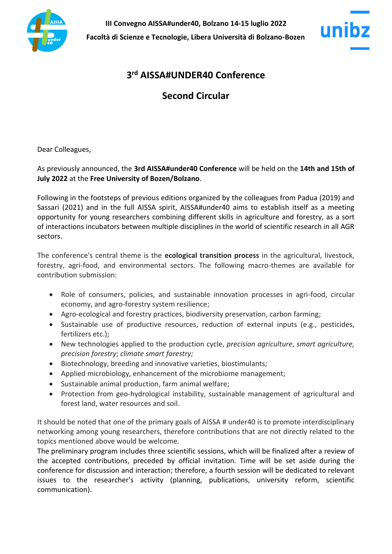



# **3 rd AISSA#UNDER40 Conference**

# **Second Circular**

Dear Colleagues,

As previously announced, the **3rd AISSA#under40 Conference** will be held on the **14th and 15th of July 2022** at the **Free University of Bozen/Bolzano**.

Following in the footsteps of previous editions organized by the colleagues from Padua (2019) and Sassari (2021) and in the full AISSA spirit, AISSA#under40 aims to establish itself as a meeting opportunity for young researchers combining different skills in agriculture and forestry, as a sort of interactions incubators between multiple disciplines in the world of scientific research in all AGR sectors.

The conference's central theme is the **ecological transition process** in the agricultural, livestock, forestry, agri-food, and environmental sectors. The following macro-themes are available for contribution submission:

- Role of consumers, policies, and sustainable innovation processes in agri-food, circular economy, and agro-forestry system resilience;
- Agro-ecological and forestry practices, biodiversity preservation, carbon farming;
- Sustainable use of productive resources, reduction of external inputs (e.g., pesticides, fertilizers etc.);
- New technologies applied to the production cycle, *precision agriculture*, *smart agriculture, precision forestry*; *climate smart forestry;*
- Biotechnology, breeding and innovative varieties, biostimulants;
- Applied microbiology, enhancement of the microbiome management;
- Sustainable animal production, farm animal welfare;
- Protection from geo-hydrological instability, sustainable management of agricultural and forest land, water resources and soil.

It should be noted that one of the primary goals of AISSA # under40 is to promote interdisciplinary networking among young researchers, therefore contributions that are not directly related to the topics mentioned above would be welcome.

The preliminary program includes three scientific sessions, which will be finalized after a review of the accepted contributions, preceded by official invitation. Time will be set aside during the conference for discussion and interaction; therefore, a fourth session will be dedicated to relevant issues to the researcher's activity (planning, publications, university reform, scientific communication).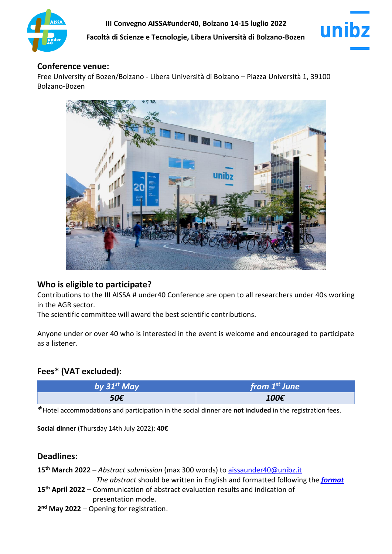



#### **Conference venue:**

Free University of Bozen/Bolzano - Libera Università di Bolzano – Piazza Università 1, 39100 Bolzano-Bozen



## **Who is eligible to participate?**

Contributions to the III AISSA # under40 Conference are open to all researchers under 40s working in the AGR sector.

The scientific committee will award the best scientific contributions.

Anyone under or over 40 who is interested in the event is welcome and encouraged to participate as a listener.

# **Fees\* (VAT excluded):**

| by $31^{st}$ May | from $1st$ June |
|------------------|-----------------|
| 50€              | 100€            |

*\**Hotel accommodations and participation in the social dinner are **not included** in the registration fees.

**Social dinner** (Thursday 14th July 2022): **40€**

## **Deadlines:**

**15th March 2022** – *Abstract submission* (max 300 words) to [aissaunder40@unibz.it](mailto:aissaunder40@unibz.it)  *The abstract* should be written in English and formatted following the *[format](https://scientificnet-my.sharepoint.com/:w:/g/personal/gsacchi_unibz_it/EZjs7zoFnNVCuDMicptyWGsBlVgC1S0-NzNVNGgdQSXzug?e=4%3Ai51sjW&at=9)*

- **15th April 2022**  Communication of abstract evaluation results and indication of presentation mode.
- **2 nd May 2022**  Opening for registration.